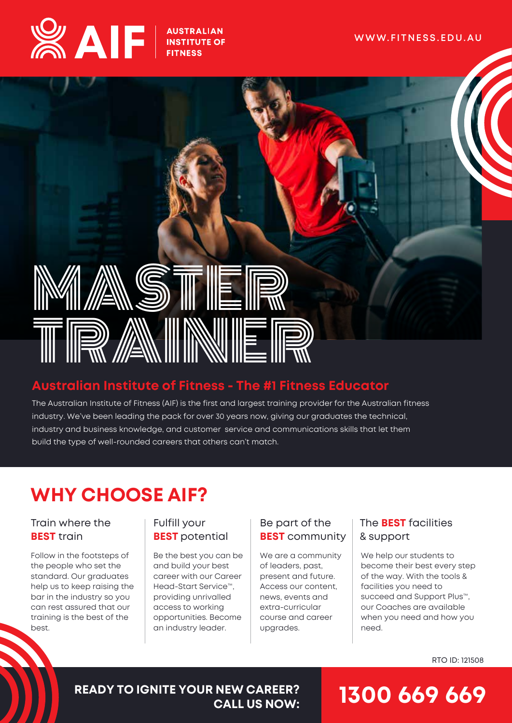



### **Australian Institute of Fitness - The #1 Fitness Educator**

The Australian Institute of Fitness (AIF) is the first and largest training provider for the Australian fitness industry. We've been leading the pack for over 30 years now, giving our graduates the technical, industry and business knowledge, and customer service and communications skills that let them build the type of well-rounded careers that others can't match.

## **WHY CHOOSE AIF?**

#### Train where the **BEST** train

Follow in the footsteps of the people who set the standard. Our graduates help us to keep raising the bar in the industry so you can rest assured that our training is the best of the heet

#### Fulfill your **BEST** potential

Be the best you can be and build your best career with our Career Head-Start Service™, providing unrivalled access to working opportunities. Become an industry leader.

#### Be part of the **BEST** community

We are a community of leaders, past, present and future. Access our content, news, events and extra-curricular course and career upgrades.

#### The **BEST** facilities & support

We help our students to become their best every step of the way. With the tools & facilities you need to succeed and Support Plus™, our Coaches are available when you need and how you need.

RTO ID: 121508

#### **READY TO IGNITE YOUR NEW CAREER? CALL US NOW:**

## **1300 669 669**